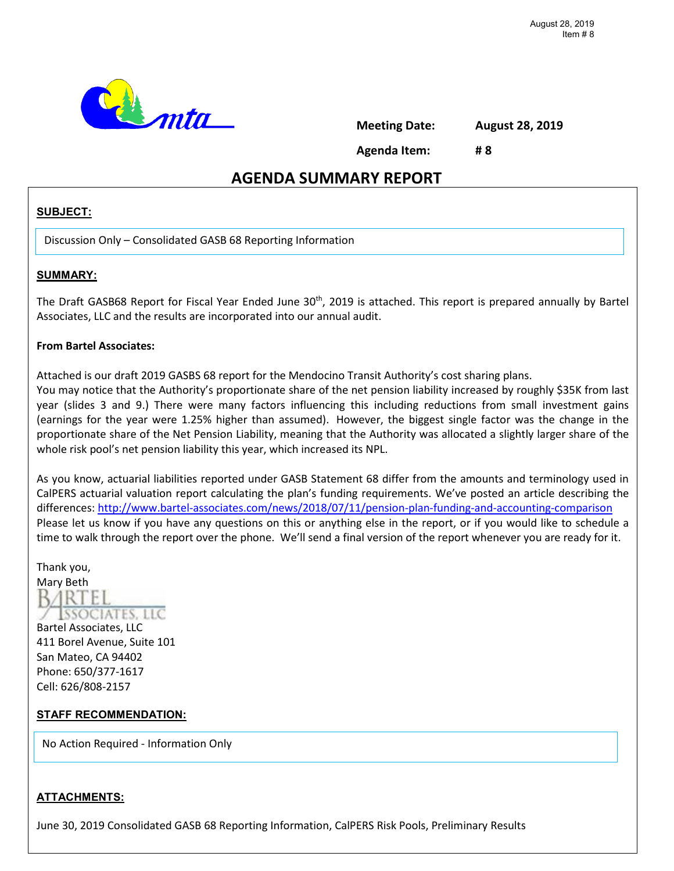

**Meeting Date: August 28, 2019**

**Agenda Item: # 8** 

### **AGENDA SUMMARY REPORT**

#### **SUBJECT:**

Discussion Only – Consolidated GASB 68 Reporting Information

#### **SUMMARY:**

The Draft GASB68 Report for Fiscal Year Ended June 30<sup>th</sup>, 2019 is attached. This report is prepared annually by Bartel Associates, LLC and the results are incorporated into our annual audit.

#### **From Bartel Associates:**

Attached is our draft 2019 GASBS 68 report for the Mendocino Transit Authority's cost sharing plans.

You may notice that the Authority's proportionate share of the net pension liability increased by roughly \$35K from last year (slides 3 and 9.) There were many factors influencing this including reductions from small investment gains (earnings for the year were 1.25% higher than assumed). However, the biggest single factor was the change in the proportionate share of the Net Pension Liability, meaning that the Authority was allocated a slightly larger share of the whole risk pool's net pension liability this year, which increased its NPL.

As you know, actuarial liabilities reported under GASB Statement 68 differ from the amounts and terminology used in CalPERS actuarial valuation report calculating the plan's funding requirements. We've posted an article describing the differences[: http://www.bartel-associates.com/news/2018/07/11/pension-plan-funding-and-accounting-comparison](http://www.bartel-associates.com/news/2018/07/11/pension-plan-funding-and-accounting-comparison) Please let us know if you have any questions on this or anything else in the report, or if you would like to schedule a time to walk through the report over the phone. We'll send a final version of the report whenever you are ready for it.

Thank you, Mary Beth BARTEI **SSOCIATES, LLC** 

Bartel Associates, LLC 411 Borel Avenue, Suite 101 San Mateo, CA 94402 Phone: 650/377-1617 Cell: 626/808-2157

#### **STAFF RECOMMENDATION:**

No Action Required - Information Only

#### **ATTACHMENTS:**

June 30, 2019 Consolidated GASB 68 Reporting Information, CalPERS Risk Pools, Preliminary Results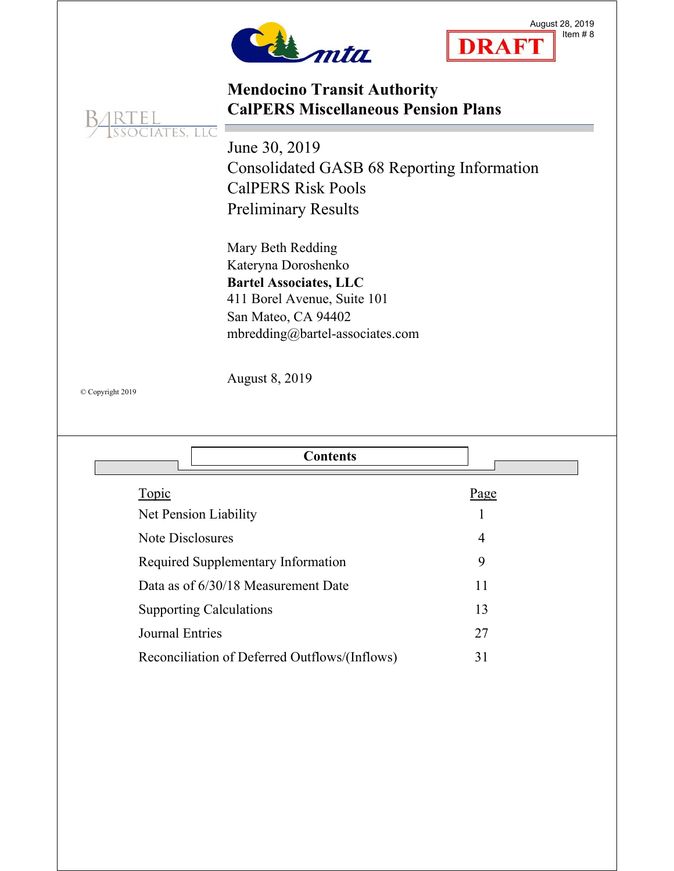



# **Mendocino Transit Authority CalPERS Miscellaneous Pension Plans**

IATES, LLC June 30, 2019 Consolidated GASB 68 Reporting Information CalPERS Risk Pools Preliminary Results

> Mary Beth Redding Kateryna Doroshenko **Bartel Associates, LLC** 411 Borel Avenue, Suite 101 San Mateo, CA 94402 mbredding@bartel-associates.com

August 8, 2019

© Copyright 2019

| <b>Contents</b>                               |                |
|-----------------------------------------------|----------------|
| <b>Topic</b>                                  | Page           |
| Net Pension Liability                         |                |
| <b>Note Disclosures</b>                       | $\overline{4}$ |
| Required Supplementary Information            | 9              |
| Data as of 6/30/18 Measurement Date           | 11             |
| <b>Supporting Calculations</b>                | 13             |
| <b>Journal Entries</b>                        | 27             |
| Reconciliation of Deferred Outflows/(Inflows) | 31             |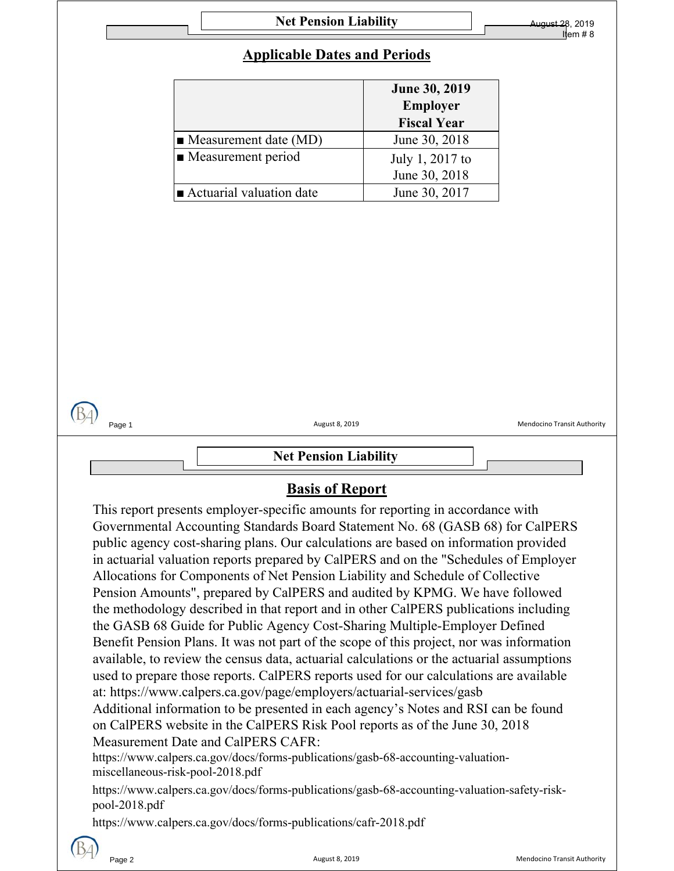### **Applicable Dates and Periods**

|                                      | June 30, 2019<br><b>Employer</b><br><b>Fiscal Year</b> |
|--------------------------------------|--------------------------------------------------------|
| $\blacksquare$ Measurement date (MD) | June 30, 2018                                          |
| $\blacksquare$ Measurement period    | July 1, 2017 to<br>June 30, 2018                       |
| Actuarial valuation date             | June 30, 2017                                          |



## **Basis of Report**

Additional information to be presented in each agency's Notes and RSI can be found on CalPERS website in the CalPERS Risk Pool reports as of the June 30, 2018 Measurement Date and CalPERS CAFR: https://www.calpers.ca.gov/docs/forms-publications/gasb-68-accounting-valuationmiscellaneous-risk-pool-2018.pdf This report presents employer-specific amounts for reporting in accordance with Governmental Accounting Standards Board Statement No. 68 (GASB 68) for CalPERS public agency cost-sharing plans. Our calculations are based on information provided in actuarial valuation reports prepared by CalPERS and on the "Schedules of Employer Allocations for Components of Net Pension Liability and Schedule of Collective Pension Amounts", prepared by CalPERS and audited by KPMG. We have followed the methodology described in that report and in other CalPERS publications including the GASB 68 Guide for Public Agency Cost-Sharing Multiple-Employer Defined Benefit Pension Plans. It was not part of the scope of this project, nor was information available, to review the census data, actuarial calculations or the actuarial assumptions used to prepare those reports. CalPERS reports used for our calculations are available at: https://www.calpers.ca.gov/page/employers/actuarial-services/gasb

https://www.calpers.ca.gov/docs/forms-publications/gasb-68-accounting-valuation-safety-riskpool-2018.pdf

https://www.calpers.ca.gov/docs/forms-publications/cafr-2018.pdf

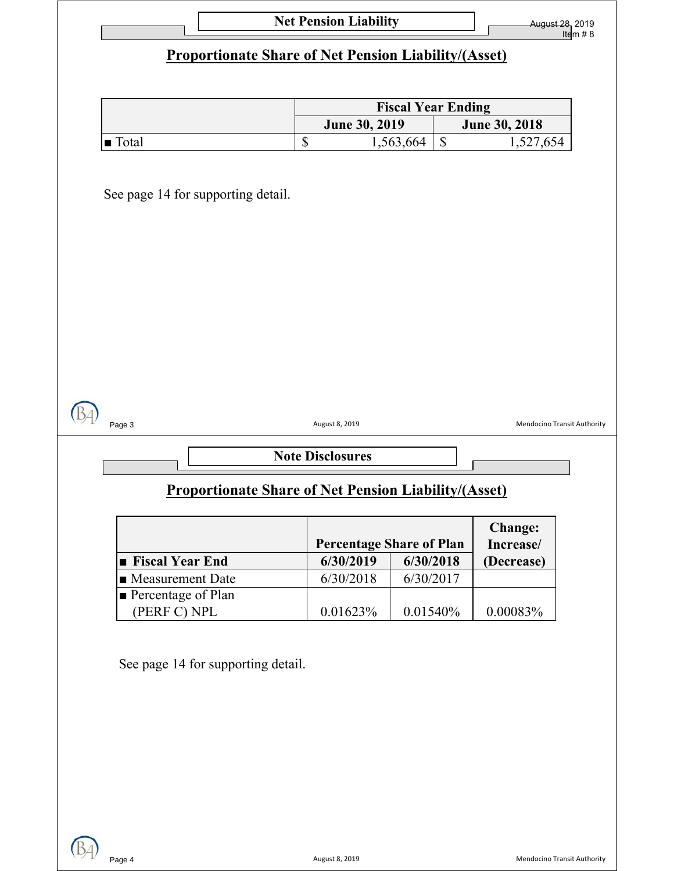| <b>Fiscal Year Ending</b>                  |                                    |                                                             |           |              |                             |
|--------------------------------------------|------------------------------------|-------------------------------------------------------------|-----------|--------------|-----------------------------|
|                                            |                                    | June 30, 2019                                               |           |              | <b>June 30, 2018</b>        |
| $\blacksquare$ Total                       |                                    | \$                                                          | 1,563,664 | $\mathbb{S}$ | 1,527,654                   |
|                                            | See page 14 for supporting detail. |                                                             |           |              |                             |
|                                            |                                    |                                                             |           |              |                             |
|                                            |                                    |                                                             |           |              |                             |
|                                            |                                    |                                                             |           |              |                             |
|                                            |                                    |                                                             |           |              |                             |
|                                            |                                    |                                                             |           |              |                             |
|                                            |                                    |                                                             |           |              |                             |
|                                            |                                    |                                                             |           |              |                             |
|                                            |                                    |                                                             |           |              |                             |
|                                            |                                    |                                                             |           |              |                             |
|                                            |                                    | August 8, 2019                                              |           |              | Mendocino Transit Authority |
| Page 3                                     |                                    | <b>Note Disclosures</b>                                     |           |              |                             |
|                                            |                                    | <b>Proportionate Share of Net Pension Liability/(Asset)</b> |           |              |                             |
|                                            |                                    |                                                             |           |              |                             |
|                                            |                                    | <b>Percentage Share of Plan</b>                             |           |              | <b>Change:</b><br>Increase/ |
| ■ Fiscal Year End                          |                                    | 6/30/2019                                                   | 6/30/2018 |              | (Decrease)                  |
| • Measurement Date<br>■ Percentage of Plan |                                    | 6/30/2018                                                   | 6/30/2017 |              |                             |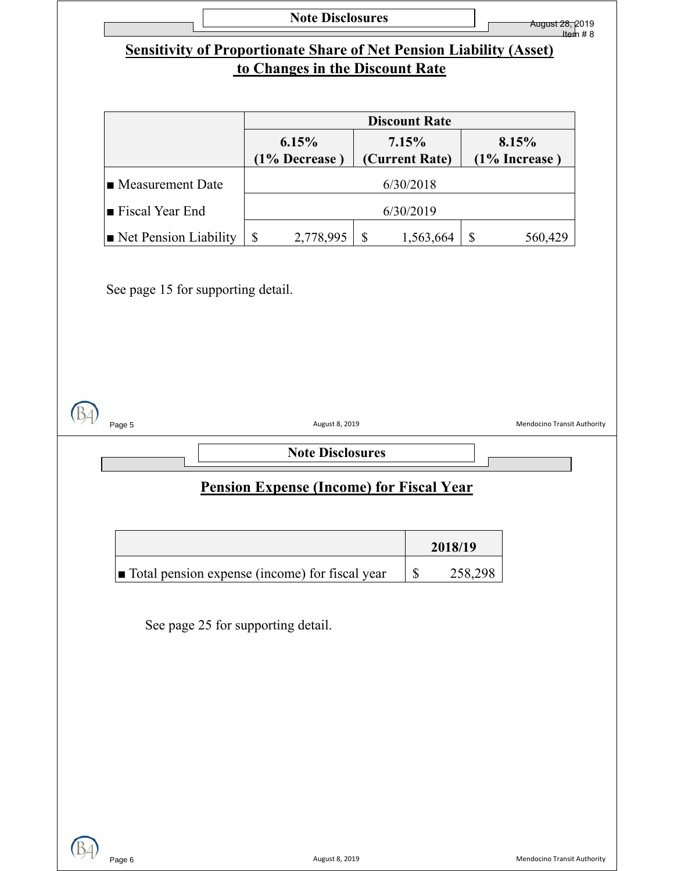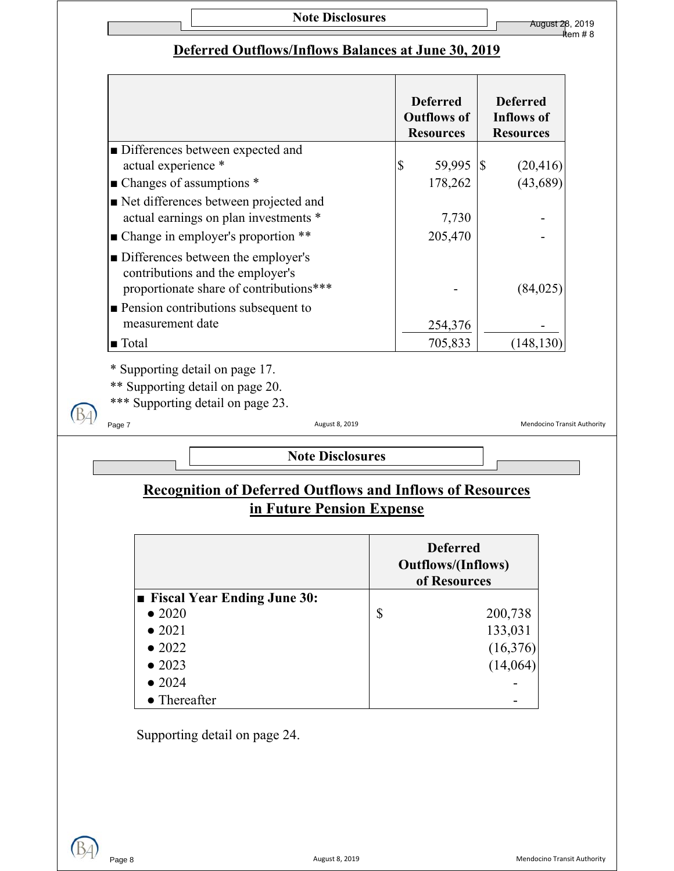# **Deferred Outflows/Inflows Balances at June 30, 2019**

|                                                                                                                     |                         | <b>Deferred</b><br><b>Outflows of</b><br><b>Resources</b> | <b>Deferred</b><br>Inflows of<br><b>Resources</b> |
|---------------------------------------------------------------------------------------------------------------------|-------------------------|-----------------------------------------------------------|---------------------------------------------------|
| • Differences between expected and                                                                                  |                         |                                                           |                                                   |
| actual experience *                                                                                                 |                         | \$<br>59,995 \$                                           | (20, 416)                                         |
| $\blacksquare$ Changes of assumptions $*$                                                                           |                         | 178,262                                                   | (43,689)                                          |
| Net differences between projected and<br>actual earnings on plan investments *                                      |                         | 7,730                                                     |                                                   |
| $\blacksquare$ Change in employer's proportion **                                                                   |                         | 205,470                                                   |                                                   |
| • Differences between the employer's<br>contributions and the employer's<br>proportionate share of contributions*** |                         |                                                           | (84, 025)                                         |
| $\blacksquare$ Pension contributions subsequent to                                                                  |                         |                                                           |                                                   |
| measurement date                                                                                                    |                         | 254,376                                                   |                                                   |
| $\blacksquare$ Total                                                                                                |                         | 705,833                                                   | (148, 130)                                        |
| * Supporting detail on page 17.<br>** Supporting detail on page 20.<br>*** Supporting detail on page 23.            |                         |                                                           |                                                   |
| Page 7                                                                                                              | August 8, 2019          |                                                           | Mendocino Transit Authority                       |
|                                                                                                                     | <b>Note Disclosures</b> |                                                           |                                                   |

# **in Future Pension Expense Recognition of Deferred Outflows and Inflows of Resources**

|                                    | <b>Deferred</b><br><b>Outflows/(Inflows)</b><br>of Resources |  |
|------------------------------------|--------------------------------------------------------------|--|
| <b>Fiscal Year Ending June 30:</b> |                                                              |  |
| $\bullet$ 2020                     | \$<br>200,738                                                |  |
| $\bullet$ 2021                     | 133,031                                                      |  |
| $\bullet$ 2022                     | (16,376)                                                     |  |
| $\bullet$ 2023                     | (14,064)                                                     |  |
| $\bullet$ 2024                     |                                                              |  |
| • Thereafter                       |                                                              |  |

Supporting detail on page 24.



 $(B)$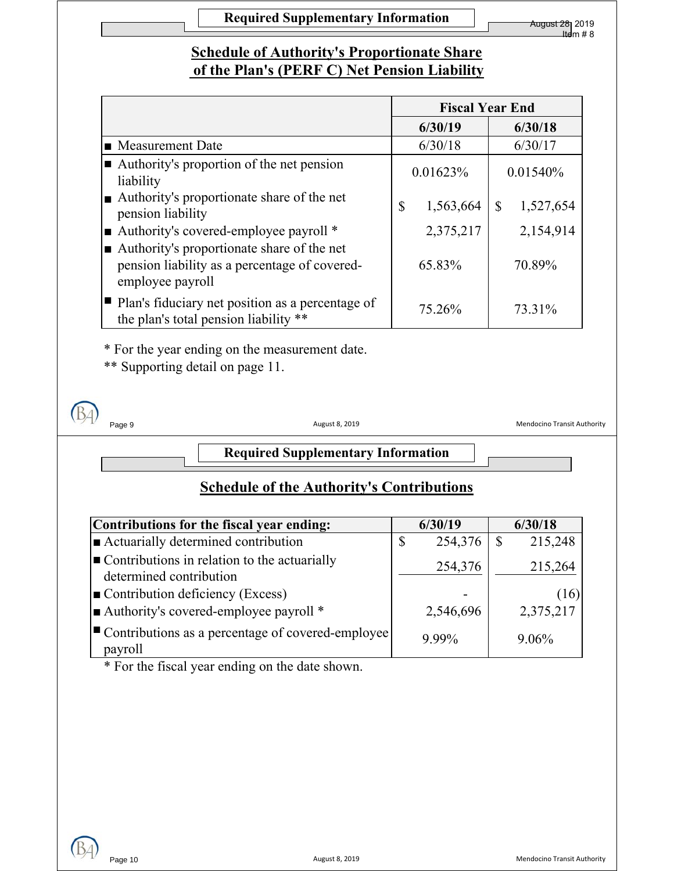## **of the Plan's (PERF C) Net Pension Liability Schedule of Authority's Proportionate Share**

|                                                                                             | <b>Fiscal Year End</b>    |                                    |
|---------------------------------------------------------------------------------------------|---------------------------|------------------------------------|
|                                                                                             | 6/30/19                   | 6/30/18                            |
| • Measurement Date                                                                          | 6/30/18                   | 6/30/17                            |
| ■ Authority's proportion of the net pension<br>liability                                    | 0.01623%                  | 0.01540%                           |
| Authority's proportionate share of the net<br>pension liability                             | $\mathbb{S}$<br>1,563,664 | 1,527,654<br>$\mathbb{S}$          |
| Authority's covered-employee payroll *<br>• Authority's proportionate share of the net      | 2,375,217                 | 2,154,914                          |
| pension liability as a percentage of covered-<br>employee payroll                           | 65.83%                    | 70.89%                             |
| ■ Plan's fiduciary net position as a percentage of<br>the plan's total pension liability ** | 75.26%                    | 73.31%                             |
| * For the year ending on the measurement date.<br>** Supporting detail on page 11.          |                           |                                    |
| August 8, 2019<br>Page 9                                                                    |                           |                                    |
| <b>Required Supplementary Information</b>                                                   |                           | <b>Mendocino Transit Authority</b> |
| <b>Schedule of the Authority's Contributions</b>                                            |                           |                                    |
|                                                                                             | 6/30/19                   | 6/30/18                            |
| Contributions for the fiscal year ending:<br>Actuarially determined contribution            | $\mathbf S$<br>254,376    | $\mathbb{S}$<br>215,248            |
| Contributions in relation to the actuarially<br>determined contribution                     | 254,376                   | 215,264                            |
|                                                                                             |                           | (16)                               |
| Contribution deficiency (Excess)<br>$\blacksquare$ Authority's covered-employee payroll *   | 2,546,696                 | 2,375,217                          |

\* For the fiscal year ending on the date shown.



 $\bigoplus$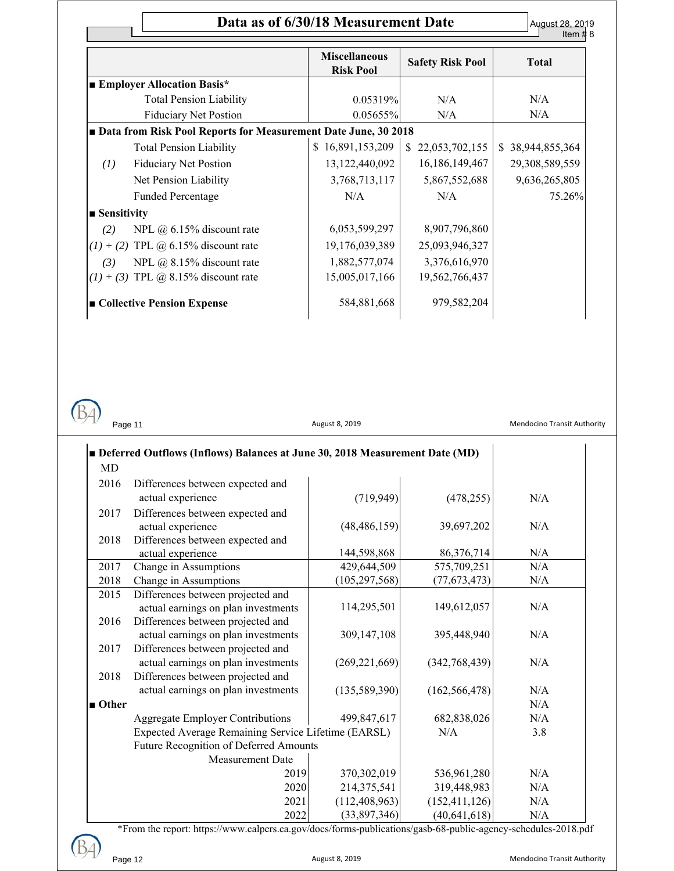August 28, 2019 Item # 8

|                                                                | <b>Miscellaneous</b><br><b>Risk Pool</b> | <b>Safety Risk Pool</b> | <b>Total</b>     |
|----------------------------------------------------------------|------------------------------------------|-------------------------|------------------|
| <b>Employer Allocation Basis*</b>                              |                                          |                         |                  |
| <b>Total Pension Liability</b>                                 | 0.05319%                                 | N/A                     | N/A              |
| <b>Fiduciary Net Postion</b>                                   | $0.05655\%$                              | N/A                     | N/A              |
| Data from Risk Pool Reports for Measurement Date June, 30 2018 |                                          |                         |                  |
| <b>Total Pension Liability</b>                                 | \$16,891,153,209                         | \$22,053,702,155        | \$38,944,855,364 |
| <b>Fiduciary Net Postion</b><br>(I)                            | 13, 122, 440, 092                        | 16, 186, 149, 467       | 29,308,589,559   |
| Net Pension Liability                                          | 3,768,713,117                            | 5,867,552,688           | 9,636,265,805    |
| <b>Funded Percentage</b>                                       | N/A                                      | N/A                     | 75.26%           |
| $\blacksquare$ Sensitivity                                     |                                          |                         |                  |
| (2)<br>NPL $(a)$ 6.15% discount rate                           | 6,053,599,297                            | 8,907,796,860           |                  |
| $(1) + (2)$ TPL @ 6.15% discount rate                          | 19,176,039,389                           | 25,093,946,327          |                  |
| NPL @ 8.15% discount rate<br>(3)                               | 1,882,577,074                            | 3,376,616,970           |                  |
| $(1) + (3)$ TPL @ 8.15% discount rate                          | 15,005,017,166                           | 19,562,766,437          |                  |
| ■ Collective Pension Expense                                   | 584,881,668                              | 979,582,204             |                  |

 $(B)$ 

Page 11 **August 8, 2019** August 8, 2019 **Mendocino Transit Authority** Page 11

| MD                   |                                                                          |                 |                 |     |
|----------------------|--------------------------------------------------------------------------|-----------------|-----------------|-----|
| 2016                 | Differences between expected and<br>actual experience                    | (719, 949)      | (478, 255)      | N/A |
| 2017                 | Differences between expected and<br>actual experience                    | (48, 486, 159)  | 39,697,202      | N/A |
| 2018                 | Differences between expected and<br>actual experience                    | 144,598,868     | 86,376,714      | N/A |
| 2017                 | Change in Assumptions                                                    | 429,644,509     | 575,709,251     | N/A |
| 2018                 | Change in Assumptions                                                    | (105, 297, 568) | (77, 673, 473)  | N/A |
| 2015                 | Differences between projected and<br>actual earnings on plan investments | 114,295,501     | 149,612,057     | N/A |
| 2016                 | Differences between projected and<br>actual earnings on plan investments | 309,147,108     | 395,448,940     | N/A |
| 2017                 | Differences between projected and<br>actual earnings on plan investments | (269, 221, 669) | (342, 768, 439) | N/A |
| 2018                 | Differences between projected and<br>actual earnings on plan investments | (135, 589, 390) | (162, 566, 478) | N/A |
| $\blacksquare$ Other |                                                                          |                 |                 | N/A |
|                      | <b>Aggregate Employer Contributions</b>                                  | 499,847,617     | 682,838,026     | N/A |
|                      | Expected Average Remaining Service Lifetime (EARSL)                      |                 | N/A             | 3.8 |
|                      | Future Recognition of Deferred Amounts                                   |                 |                 |     |
|                      | <b>Measurement Date</b>                                                  |                 |                 |     |
|                      | 2019                                                                     | 370,302,019     | 536,961,280     | N/A |
|                      | 2020                                                                     | 214,375,541     | 319,448,983     | N/A |
|                      | 2021                                                                     | (112, 408, 963) | (152, 411, 126) | N/A |
|                      | 2022                                                                     | (33,897,346)    | (40, 641, 618)  | N/A |

\*From the report: https://www.calpers.ca.gov/docs/forms-publications/gasb-68-public-agency-schedules-2018.pdf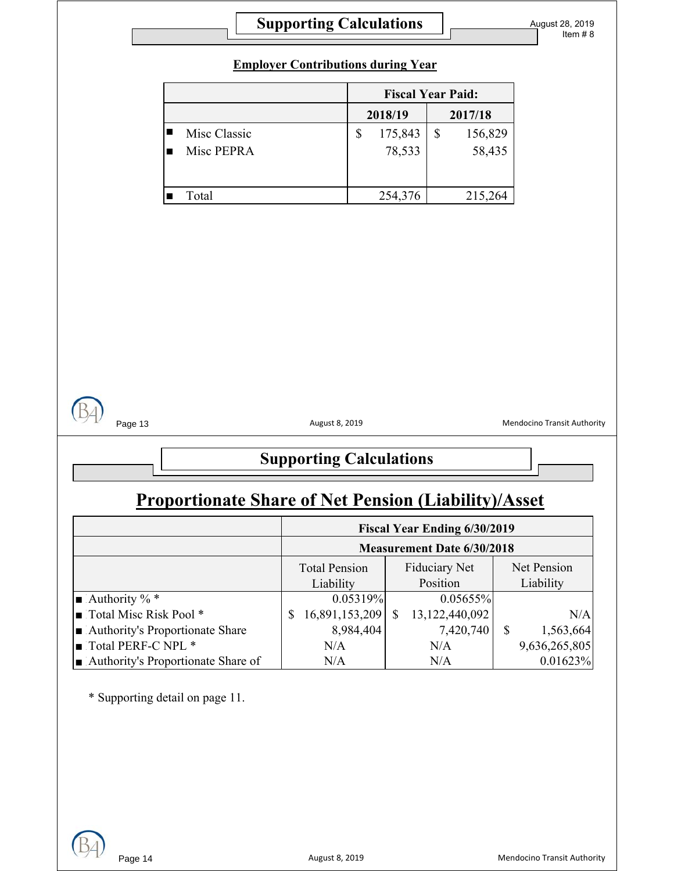### **Employer Contributions during Year**

|              | <b>Fiscal Year Paid:</b> |         |   |         |
|--------------|--------------------------|---------|---|---------|
|              | 2018/19                  |         |   | 2017/18 |
| Misc Classic |                          | 175,843 | S | 156,829 |
| Misc PEPRA   |                          | 78,533  |   | 58,435  |
|              |                          |         |   |         |
| Total        |                          | 254,376 |   | 215,264 |

Page 13 **August 8, 2019** August 8, 2019 Mendocino Transit Authority

# **Supporting Calculations**

# **Proportionate Share of Net Pension (Liability)/Asset**

|                                    | <b>Fiscal Year Ending 6/30/2019</b>                         |                   |               |  |
|------------------------------------|-------------------------------------------------------------|-------------------|---------------|--|
|                                    | <b>Measurement Date 6/30/2018</b>                           |                   |               |  |
|                                    | Net Pension<br><b>Fiduciary Net</b><br><b>Total Pension</b> |                   |               |  |
|                                    | Position<br>Liability                                       |                   | Liability     |  |
| $\blacksquare$ Authority % *       | 0.05319%                                                    | 0.05655%          |               |  |
| Total Misc Risk Pool *             | 16,891,153,209<br>\$                                        | 13, 122, 440, 092 | N/A           |  |
| Authority's Proportionate Share    | 8,984,404                                                   | 7,420,740         | 1,563,664     |  |
| Total PERF-C NPL *                 | N/A                                                         | N/A               | 9,636,265,805 |  |
| Authority's Proportionate Share of | N/A                                                         | N/A               | 0.01623%      |  |

\* Supporting detail on page 11.

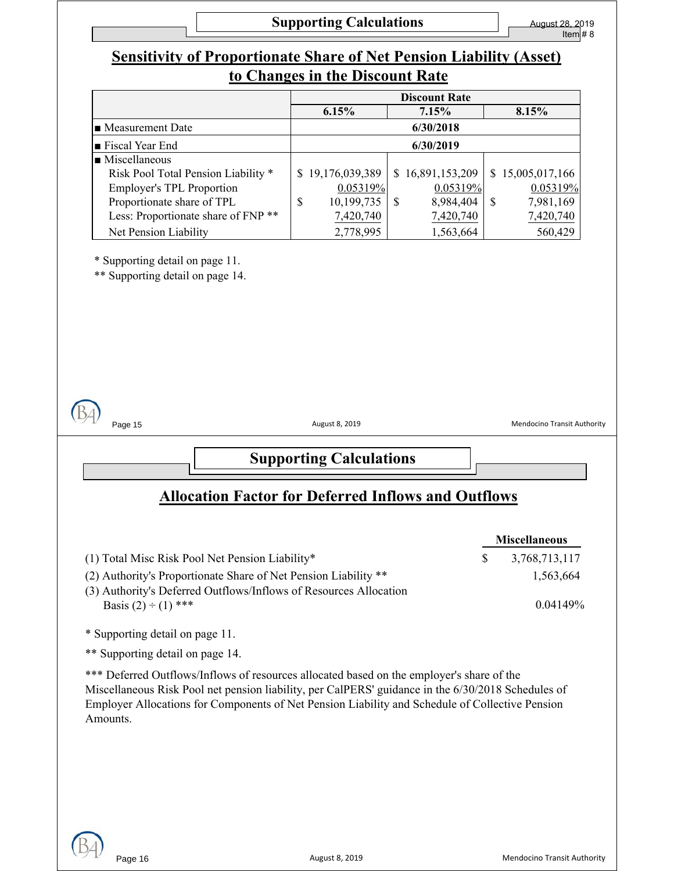### **Supporting Calculations**

# **Sensitivity of Proportionate Share of Net Pension Liability (Asset) to Changes in the Discount Rate**

|                                                |                  | <b>Discount Rate</b> |                           |  |
|------------------------------------------------|------------------|----------------------|---------------------------|--|
|                                                | 6.15%            | 7.15%                | 8.15%                     |  |
| <b>Measurement Date</b>                        | 6/30/2018        |                      |                           |  |
| $\blacksquare$ Fiscal Year End                 |                  | 6/30/2019            |                           |  |
| $\blacksquare$ Miscellaneous                   |                  |                      |                           |  |
| Risk Pool Total Pension Liability *            | \$19,176,039,389 | \$16,891,153,209     | \$15,005,017,166          |  |
| <b>Employer's TPL Proportion</b>               | 0.05319%         | 0.05319%             | 0.05319%                  |  |
| Proportionate share of TPL                     | 10,199,735<br>\$ | 8,984,404<br>-S      | 7,981,169<br><sup>S</sup> |  |
| Less: Proportionate share of FNP <sup>**</sup> | 7,420,740        | 7,420,740            | 7,420,740                 |  |
| Net Pension Liability                          | 2,778,995        | 1,563,664            | 560,429                   |  |

\* Supporting detail on page 11.

\*\* Supporting detail on page 14.

ß.

Page 15 **August 8, 2019** August 8, 2019 **Mendocino Transit Authority** Mendocino Transit Authority

# **Supporting Calculations**

## **Allocation Factor for Deferred Inflows and Outflows**

|                                                                                                                                                                                                                                                                                                                |   | <b>Miscellaneous</b> |
|----------------------------------------------------------------------------------------------------------------------------------------------------------------------------------------------------------------------------------------------------------------------------------------------------------------|---|----------------------|
| (1) Total Misc Risk Pool Net Pension Liability*                                                                                                                                                                                                                                                                | S | 3,768,713,117        |
| (2) Authority's Proportionate Share of Net Pension Liability **<br>(3) Authority's Deferred Outflows/Inflows of Resources Allocation                                                                                                                                                                           |   | 1,563,664            |
| Basis $(2) \div (1)$ ***                                                                                                                                                                                                                                                                                       |   | 0.04149%             |
| * Supporting detail on page 11.                                                                                                                                                                                                                                                                                |   |                      |
| ** Supporting detail on page 14.                                                                                                                                                                                                                                                                               |   |                      |
| *** Deferred Outflows/Inflows of resources allocated based on the employer's share of the<br>Miscellaneous Risk Pool net pension liability, per CalPERS' guidance in the 6/30/2018 Schedules of<br>Employer Allocations for Components of Net Pension Liability and Schedule of Collective Pension<br>Amounts. |   |                      |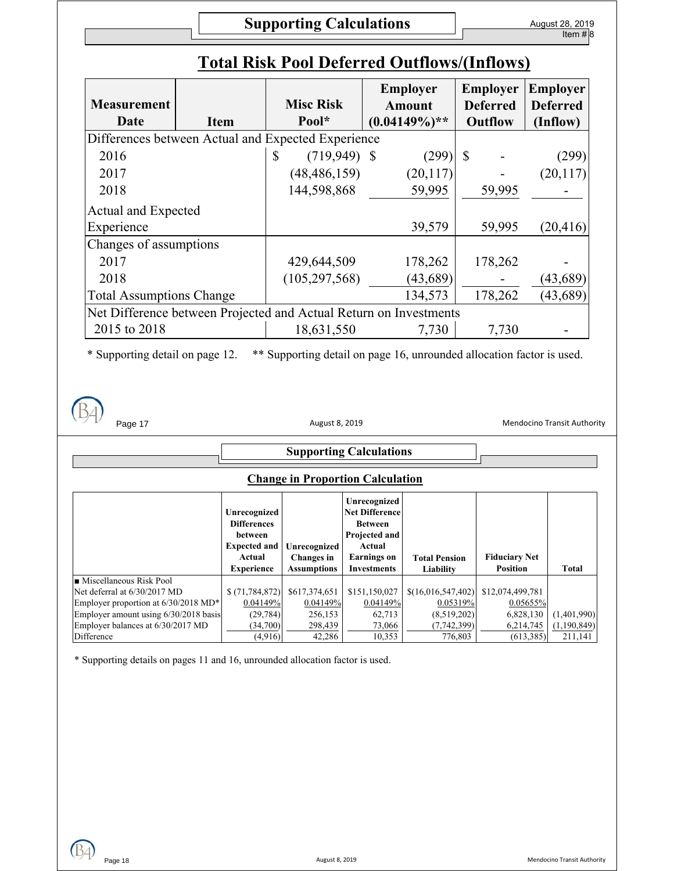| <b>Measurement</b><br>Date      | <b>Item</b> | <b>Misc Risk</b><br>Pool*                                         | <b>Employer</b><br><b>Amount</b><br>$(0.04149\%)$ ** | <b>Employer</b><br><b>Deferred</b><br><b>Outflow</b> | <b>Employer</b><br><b>Deferred</b><br>(Inflow) |
|---------------------------------|-------------|-------------------------------------------------------------------|------------------------------------------------------|------------------------------------------------------|------------------------------------------------|
|                                 |             | Differences between Actual and Expected Experience                |                                                      |                                                      |                                                |
| 2016                            |             | $(719, 949)$ \$<br>\$                                             | (299)                                                | <sup>\$</sup>                                        | (299)                                          |
| 2017                            |             | (48, 486, 159)                                                    | (20, 117)                                            |                                                      | (20, 117)                                      |
| 2018                            |             | 144,598,868                                                       | 59,995                                               | 59,995                                               |                                                |
| <b>Actual and Expected</b>      |             |                                                                   |                                                      |                                                      |                                                |
| Experience                      |             |                                                                   | 39,579                                               | 59,995                                               | (20, 416)                                      |
| Changes of assumptions          |             |                                                                   |                                                      |                                                      |                                                |
| 2017                            |             | 429,644,509                                                       | 178,262                                              | 178,262                                              |                                                |
| 2018                            |             | (105, 297, 568)                                                   | (43, 689)                                            |                                                      | (43, 689)                                      |
| <b>Total Assumptions Change</b> |             |                                                                   | 134,573                                              | 178,262                                              | (43, 689)                                      |
|                                 |             | Net Difference between Projected and Actual Return on Investments |                                                      |                                                      |                                                |
| 2015 to 2018                    |             | 18,631,550                                                        | 7,730                                                | 7,730                                                |                                                |

# **Total Risk Pool Deferred Outflows/(Inflows)**

\* Supporting detail on page 12. \*\* Supporting detail on page 16, unrounded allocation factor is used.

Page 17 **August 8, 2019** August 8, 2019 Mendocino Transit Authority

### **Supporting Calculations**

#### **Change in Proportion Calculation**

|                                       | Unrecognized<br><b>Differences</b><br>between<br><b>Expected and</b><br>Actual<br><b>Experience</b> | Unrecognized<br><b>Changes</b> in<br><b>Assumptions</b> | Unrecognized<br><b>Net Difference</b><br><b>Between</b><br>Projected and<br>Actual<br><b>Earnings</b> on<br>Investments | <b>Total Pension</b><br>Liability | <b>Fiduciary Net</b><br><b>Position</b> | <b>Total</b> |
|---------------------------------------|-----------------------------------------------------------------------------------------------------|---------------------------------------------------------|-------------------------------------------------------------------------------------------------------------------------|-----------------------------------|-----------------------------------------|--------------|
| Miscellaneous Risk Pool               |                                                                                                     |                                                         |                                                                                                                         |                                   |                                         |              |
| Net deferral at 6/30/2017 MD          | \$(71, 784, 872)                                                                                    | \$617,374,651                                           | \$151,150,027                                                                                                           | \$(16,016,547,402)]               | \$12,074,499,781                        |              |
| Employer proportion at 6/30/2018 MD*  | 0.04149%                                                                                            | 0.04149%                                                | 0.04149%                                                                                                                | 0.05319%                          | 0.05655%                                |              |
| Employer amount using 6/30/2018 basis | (29, 784)                                                                                           | 256,153                                                 | 62.713                                                                                                                  | (8,519,202)                       | 6,828,130                               | (1,401,990)  |
| Employer balances at 6/30/2017 MD     | (34,700)                                                                                            | 298,439                                                 | 73,066                                                                                                                  | (7,742,399)                       | 6,214,745                               | (1,190,849)  |
| Difference                            | (4,916)                                                                                             | 42,286                                                  | 10,353                                                                                                                  | 776,803                           | (613, 385)                              | 211,141      |

\* Supporting details on pages 11 and 16, unrounded allocation factor is used.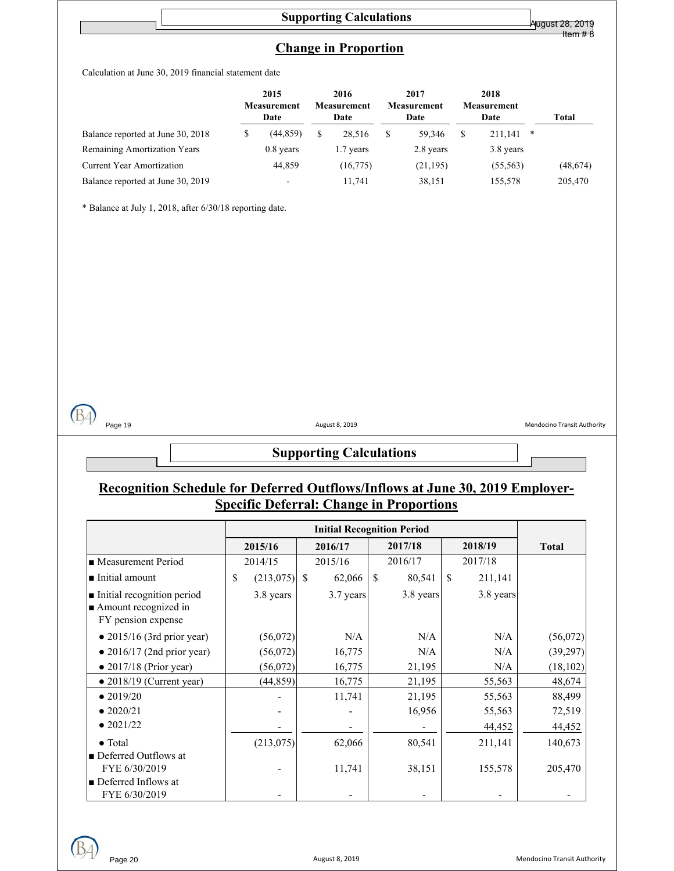August 28, 2019 Item # 8

### **Change in Proportion**

Calculation at June 30, 2019 financial statement date

|                                   |    | 2015<br><b>Measurement</b><br>Date |  | 2016<br><b>Measurement</b><br>Date |  | 2017<br><b>Measurement</b><br>Date |  | 2018<br><b>Measurement</b><br>Date | Total     |
|-----------------------------------|----|------------------------------------|--|------------------------------------|--|------------------------------------|--|------------------------------------|-----------|
| Balance reported at June 30, 2018 | S. | (44, 859)                          |  | 28.516                             |  | 59.346                             |  | 211,141<br>$\ast$                  |           |
| Remaining Amortization Years      |    | $0.8$ years                        |  | 1.7 years                          |  | 2.8 years                          |  | 3.8 years                          |           |
| <b>Current Year Amortization</b>  |    | 44.859                             |  | (16, 775)                          |  | (21, 195)                          |  | (55, 563)                          | (48, 674) |
| Balance reported at June 30, 2019 |    |                                    |  | 11.741                             |  | 38,151                             |  | 155,578                            | 205,470   |

\* Balance at July 1, 2018, after 6/30/18 reporting date.

Page 19 **August 8, 2019** August 8, 2019 **Mendocino Transit Authority** Mendocino Transit Authority

### **Supporting Calculations**

### **Recognition Schedule for Deferred Outflows/Inflows at June 30, 2019 Employer-Specific Deferral: Change in Proportions**

|                                                                             | 2015/16              | 2016/17   | 2017/18      |               | 2018/19   |  | <b>Total</b> |
|-----------------------------------------------------------------------------|----------------------|-----------|--------------|---------------|-----------|--|--------------|
| • Measurement Period                                                        | 2014/15              | 2015/16   | 2016/17      |               | 2017/18   |  |              |
| Initial amount                                                              | \$<br>$(213,075)$ \$ | 62,066    | \$<br>80,541 | <sup>\$</sup> | 211,141   |  |              |
| Initial recognition period<br>Amount recognized in<br>FY pension expense    | 3.8 years            | 3.7 years | 3.8 years    |               | 3.8 years |  |              |
| $\bullet$ 2015/16 (3rd prior year)                                          | (56,072)             | N/A       | N/A          |               | N/A       |  | (56,072)     |
| $\bullet$ 2016/17 (2nd prior year)                                          | (56,072)             | 16,775    | N/A          |               | N/A       |  | (39,297)     |
| $\bullet$ 2017/18 (Prior year)                                              | (56,072)             | 16,775    | 21,195       |               | N/A       |  | (18, 102)    |
| $\bullet$ 2018/19 (Current year)                                            | (44, 859)            | 16,775    | 21,195       |               | 55,563    |  | 48,674       |
| $\bullet$ 2019/20                                                           |                      | 11,741    | 21,195       |               | 55,563    |  | 88,499       |
| $\bullet$ 2020/21                                                           |                      |           | 16,956       |               | 55,563    |  | 72,519       |
| $\bullet$ 2021/22                                                           |                      |           |              |               | 44,452    |  | 44,452       |
| $\bullet$ Total                                                             | (213,075)            | 62,066    | 80,541       |               | 211,141   |  | 140,673      |
| Deferred Outflows at<br>FYE 6/30/2019<br>$\blacksquare$ Deferred Inflows at |                      | 11,741    | 38,151       |               | 155,578   |  | 205,470      |
| FYE 6/30/2019                                                               |                      |           |              |               |           |  |              |

 $(B<sub>4</sub>)$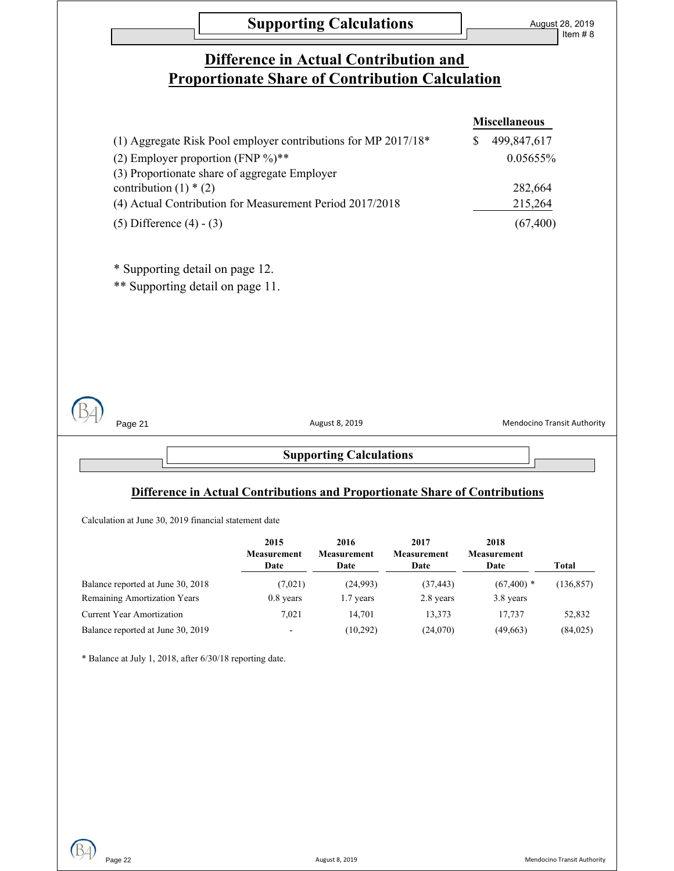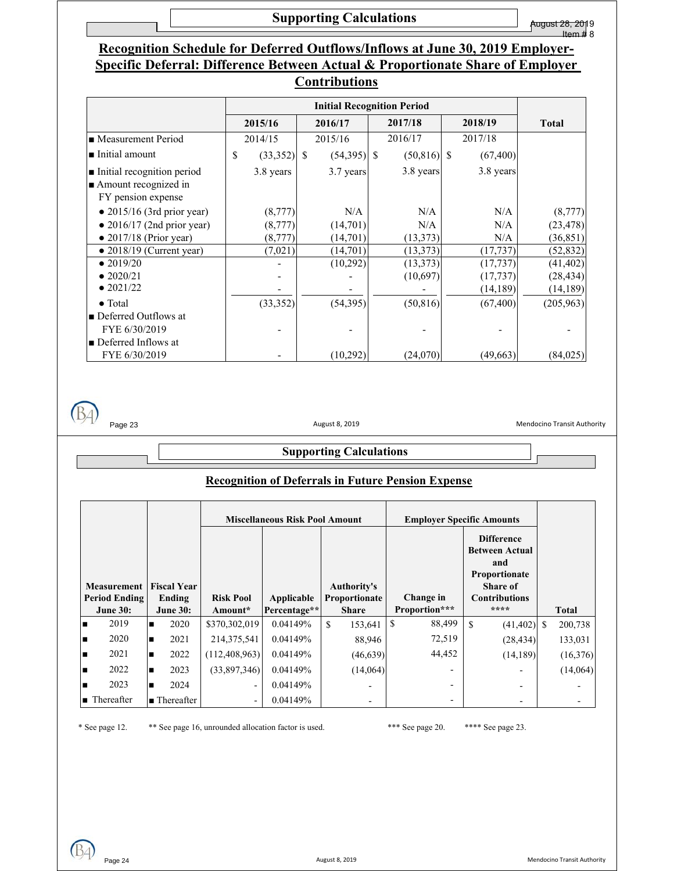### **Recognition Schedule for Deferred Outflows/Inflows at June 30, 2019 Employer-Specific Deferral: Difference Between Actual & Proportionate Share of Employer Contributions**

|                                                                          |    | <b>Initial Recognition Period</b> |  |           |    |                |  |           |              |
|--------------------------------------------------------------------------|----|-----------------------------------|--|-----------|----|----------------|--|-----------|--------------|
|                                                                          |    | 2015/16                           |  | 2016/17   |    | 2017/18        |  | 2018/19   | <b>Total</b> |
| • Measurement Period                                                     |    | 2014/15                           |  | 2015/16   |    | 2016/17        |  | 2017/18   |              |
| Initial amount                                                           | \$ | $(33,352)$ \$                     |  | (54,395)  | -S | $(50, 816)$ \$ |  | (67, 400) |              |
| Initial recognition period<br>Amount recognized in<br>FY pension expense |    | 3.8 years                         |  | 3.7 years |    | 3.8 years      |  | 3.8 years |              |
| $\bullet$ 2015/16 (3rd prior year)                                       |    | (8,777)                           |  | N/A       |    | N/A            |  | N/A       | (8,777)      |
| $\bullet$ 2016/17 (2nd prior year)                                       |    | (8,777)                           |  | (14,701)  |    | N/A            |  | N/A       | (23, 478)    |
| $\bullet$ 2017/18 (Prior year)                                           |    | (8,777)                           |  | (14,701)  |    | (13, 373)      |  | N/A       | (36, 851)    |
| $\bullet$ 2018/19 (Current year)                                         |    | (7,021)                           |  | (14, 701) |    | (13, 373)      |  | (17, 737) | (52, 832)    |
| $\bullet$ 2019/20                                                        |    |                                   |  | (10, 292) |    | (13, 373)      |  | (17, 737) | (41, 402)    |
| $\bullet$ 2020/21                                                        |    |                                   |  |           |    | (10,697)       |  | (17, 737) | (28, 434)    |
| $\bullet$ 2021/22                                                        |    |                                   |  |           |    |                |  | (14, 189) | (14, 189)    |
| $\bullet$ Total                                                          |    | (33, 352)                         |  | (54,395)  |    | (50, 816)      |  | (67, 400) | (205,963)    |
| ■ Deferred Outflows at                                                   |    |                                   |  |           |    |                |  |           |              |
| FYE 6/30/2019                                                            |    |                                   |  |           |    |                |  |           |              |
| Deferred Inflows at                                                      |    |                                   |  |           |    |                |  |           |              |
| FYE 6/30/2019                                                            |    |                                   |  | (10,292)  |    | (24,070)       |  | (49,663)  | (84, 025)    |

 $(B<sub>4</sub>)$ 

Page 23 **August 8, 2019** August 8, 2019 Mendocino Transit Authority

#### **Supporting Calculations**

#### **Recognition of Deferrals in Future Pension Expense**

|                                            |                              |                          | <b>Miscellaneous Risk Pool Amount</b> |                                     |               | <b>Employer Specific Amounts</b>                                                                              |              |
|--------------------------------------------|------------------------------|--------------------------|---------------------------------------|-------------------------------------|---------------|---------------------------------------------------------------------------------------------------------------|--------------|
| <b>Measurement</b><br><b>Period Ending</b> | <b>Fiscal Year</b><br>Ending | <b>Risk Pool</b>         | Applicable                            | <b>Authority's</b><br>Proportionate | Change in     | <b>Difference</b><br><b>Between Actual</b><br>and<br>Proportionate<br><b>Share of</b><br><b>Contributions</b> |              |
|                                            |                              |                          |                                       |                                     |               |                                                                                                               |              |
| <b>June 30:</b>                            | <b>June 30:</b>              | Amount*                  | Percentage**                          | <b>Share</b>                        | Proportion*** | ****                                                                                                          | <b>Total</b> |
| 2019<br>ıп                                 | 2020<br>п                    | \$370,302,019            | 0.04149%                              | \$<br>153,641                       | 88,499<br>\$  | $\mathcal{S}$<br>$(41, 402)$ \$                                                                               | 200,738      |
| 2020<br>I۳                                 | 2021<br>П                    | 214,375,541              | 0.04149%                              | 88,946                              | 72,519        | (28, 434)                                                                                                     | 133,031      |
| 2021<br>ı                                  | 2022<br>П                    | (112, 408, 963)          | 0.04149%                              | (46, 639)                           | 44,452        | (14,189)                                                                                                      | (16,376)     |
| 2022<br>ı                                  | 2023<br>Е                    | (33,897,346)             | 0.04149%                              | (14,064)                            |               |                                                                                                               | (14,064)     |
| 2023<br>ı                                  | 2024<br>п                    | $\overline{\phantom{a}}$ | 0.04149%                              |                                     |               |                                                                                                               |              |

\* See page 12. \*\* See page 16, unrounded allocation factor is used. \*\*\* See page 20. \*\*\*\* See page 23.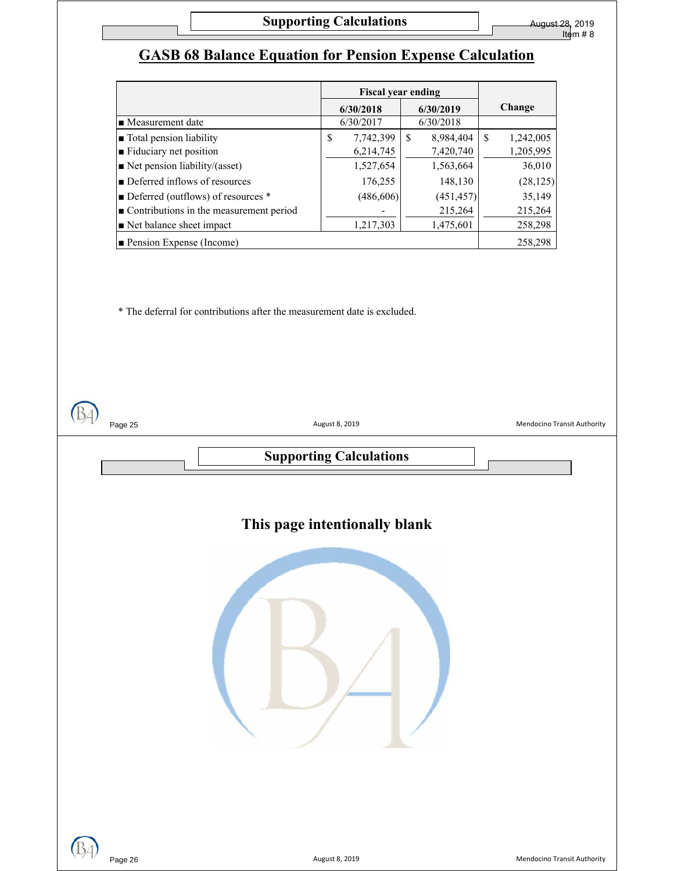## **GASB 68 Balance Equation for Pension Expense Calculation**

|                                                        | <b>Fiscal year ending</b> |    |            |    |           |
|--------------------------------------------------------|---------------------------|----|------------|----|-----------|
|                                                        | 6/30/2018                 |    | 6/30/2019  |    | Change    |
| $\blacksquare$ Measurement date                        | 6/30/2017                 |    | 6/30/2018  |    |           |
| $\blacksquare$ Total pension liability                 | \$<br>7,742,399           | -S | 8,984,404  | -S | 1,242,005 |
| $\blacksquare$ Fiduciary net position                  | 6,214,745                 |    | 7,420,740  |    | 1,205,995 |
| $\blacksquare$ Net pension liability/(asset)           | 1,527,654                 |    | 1,563,664  |    | 36,010    |
| Deferred inflows of resources                          | 176,255                   |    | 148,130    |    | (28, 125) |
| Deferred (outflows) of resources *                     | (486, 606)                |    | (451, 457) |    | 35,149    |
| $\blacksquare$ Contributions in the measurement period |                           |    | 215,264    |    | 215,264   |
| $\blacksquare$ Net balance sheet impact                | 1,217,303                 |    | 1,475,601  |    | 258,298   |
| $\blacksquare$ Pension Expense (Income)                |                           |    |            |    | 258,298   |

\* The deferral for contributions after the measurement date is excluded.

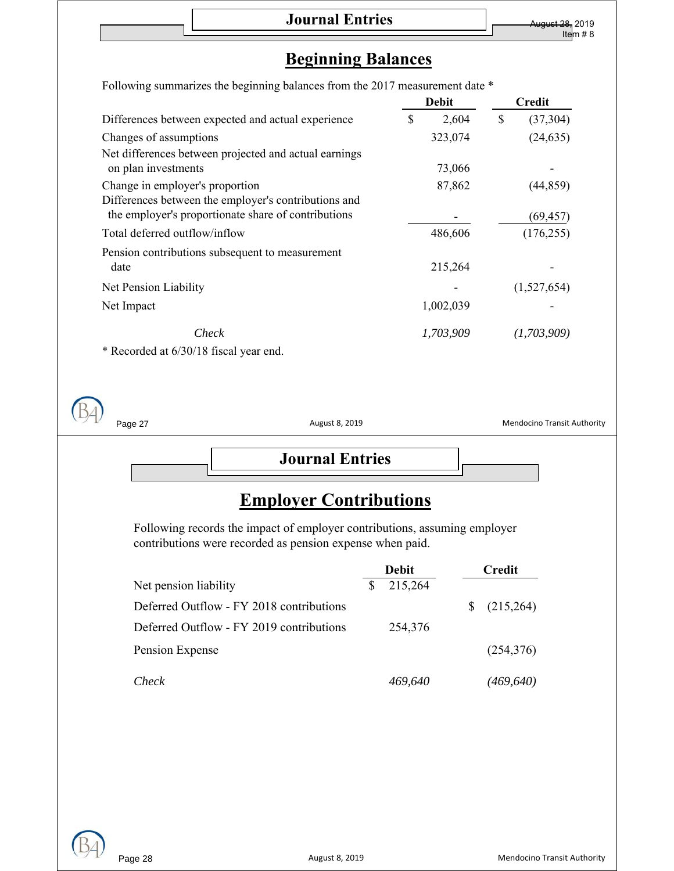# **Beginning Balances**

| Following summarizes the beginning balances from the 2017 measurement date * |                                                                                                                                        |              |           |                                    |
|------------------------------------------------------------------------------|----------------------------------------------------------------------------------------------------------------------------------------|--------------|-----------|------------------------------------|
|                                                                              |                                                                                                                                        | <b>Debit</b> |           | <b>Credit</b>                      |
| Differences between expected and actual experience                           |                                                                                                                                        | $\mathbb{S}$ | 2,604     | $\mathbb{S}$<br>(37, 304)          |
| Changes of assumptions                                                       |                                                                                                                                        |              | 323,074   | (24, 635)                          |
| Net differences between projected and actual earnings<br>on plan investments |                                                                                                                                        |              | 73,066    |                                    |
| Change in employer's proportion                                              |                                                                                                                                        |              | 87,862    | (44, 859)                          |
| Differences between the employer's contributions and                         |                                                                                                                                        |              |           |                                    |
| the employer's proportionate share of contributions                          |                                                                                                                                        |              |           | (69, 457)                          |
| Total deferred outflow/inflow                                                |                                                                                                                                        |              | 486,606   | (176, 255)                         |
| Pension contributions subsequent to measurement<br>date                      |                                                                                                                                        |              | 215,264   |                                    |
| Net Pension Liability                                                        |                                                                                                                                        |              |           | (1,527,654)                        |
| Net Impact                                                                   |                                                                                                                                        |              | 1,002,039 |                                    |
| Check                                                                        |                                                                                                                                        |              | 1,703,909 | (1,703,909)                        |
|                                                                              |                                                                                                                                        |              |           |                                    |
| Page 27                                                                      | August 8, 2019                                                                                                                         |              |           | <b>Mendocino Transit Authority</b> |
|                                                                              | <b>Journal Entries</b>                                                                                                                 |              |           |                                    |
|                                                                              | <b>Employer Contributions</b>                                                                                                          |              |           |                                    |
|                                                                              | Following records the impact of employer contributions, assuming employer<br>contributions were recorded as pension expense when paid. |              |           |                                    |
|                                                                              |                                                                                                                                        | <b>Debit</b> |           | <b>Credit</b>                      |
| Net pension liability                                                        | \$                                                                                                                                     | 215,264      |           |                                    |
| Deferred Outflow - FY 2018 contributions                                     |                                                                                                                                        |              | \$        | (215,264)                          |
| Deferred Outflow - FY 2019 contributions                                     |                                                                                                                                        | 254,376      |           |                                    |

*Check 469,640 (469,640)*



Pension Expense (254,376)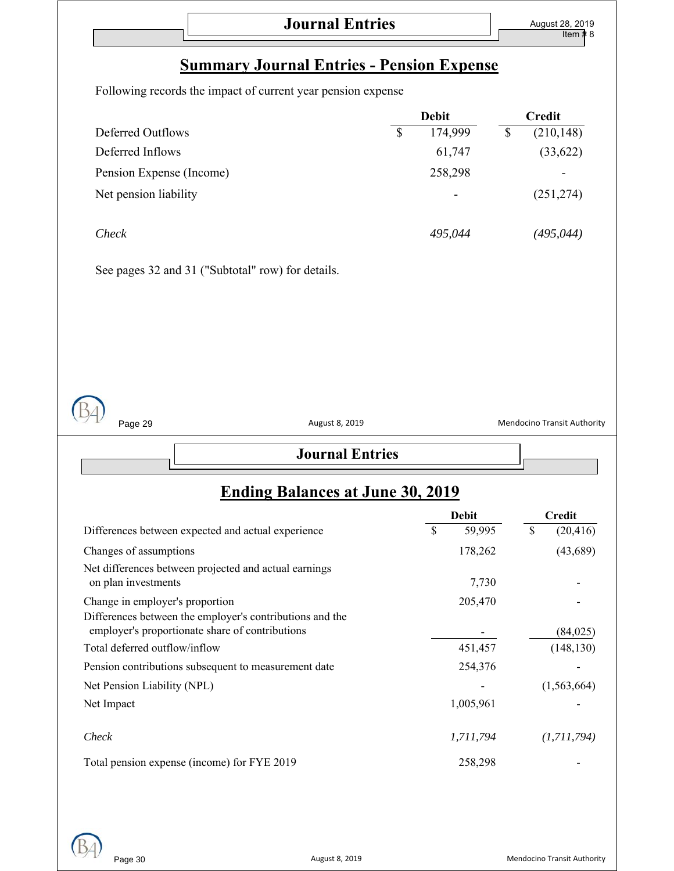# **Summary Journal Entries - Pension Expense**

Following records the impact of current year pension expense

|                          | <b>Debit</b>  | Credit           |
|--------------------------|---------------|------------------|
| Deferred Outflows        | 174,999<br>\$ | (210, 148)<br>\$ |
| Deferred Inflows         | 61,747        | (33,622)         |
| Pension Expense (Income) | 258,298       |                  |
| Net pension liability    |               | (251, 274)       |
| Check                    | 495,044       | (495,044)        |

See pages 32 and 31 ("Subtotal" row) for details.

Page 29 **August 8, 2019** August 8, 2019 Mendocino Transit Authority

## **Journal Entries**

| <b>Ending Balances at June 30, 2019</b> |  |
|-----------------------------------------|--|
|-----------------------------------------|--|

|                                                                                                             | <b>Debit</b> | Credit |               |  |
|-------------------------------------------------------------------------------------------------------------|--------------|--------|---------------|--|
| Differences between expected and actual experience                                                          | \$<br>59,995 | \$     | (20, 416)     |  |
| Changes of assumptions                                                                                      | 178,262      |        | (43,689)      |  |
| Net differences between projected and actual earnings<br>on plan investments                                | 7,730        |        |               |  |
| Change in employer's proportion                                                                             | 205,470      |        |               |  |
| Differences between the employer's contributions and the<br>employer's proportionate share of contributions |              |        | (84, 025)     |  |
| Total deferred outflow/inflow                                                                               | 451,457      |        | (148, 130)    |  |
| Pension contributions subsequent to measurement date                                                        | 254,376      |        |               |  |
| Net Pension Liability (NPL)                                                                                 |              |        | (1, 563, 664) |  |
| Net Impact                                                                                                  | 1,005,961    |        |               |  |
| Check                                                                                                       | 1,711,794    |        | (1,711,794)   |  |
| Total pension expense (income) for FYE 2019                                                                 | 258,298      |        |               |  |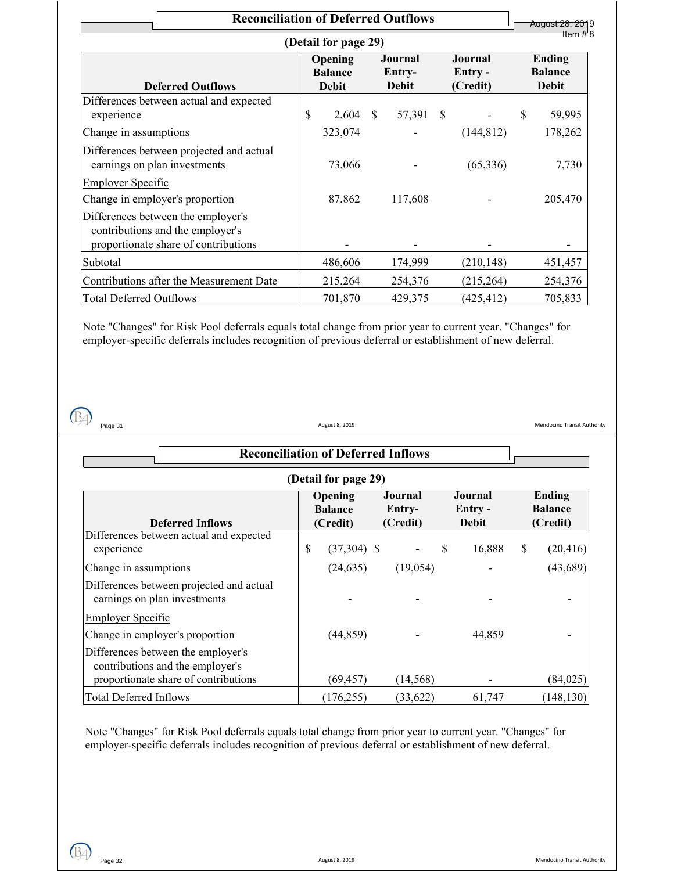| <b>Reconciliation of Deferred Outflows</b>                                                                     |    |                                           |  |                                          |  |                                | <b>August 28, 2019</b> |                                                 |  |
|----------------------------------------------------------------------------------------------------------------|----|-------------------------------------------|--|------------------------------------------|--|--------------------------------|------------------------|-------------------------------------------------|--|
| (Detail for page 29)                                                                                           |    |                                           |  |                                          |  |                                | Item#8                 |                                                 |  |
| <b>Deferred Outflows</b>                                                                                       |    | Opening<br><b>Balance</b><br><b>Debit</b> |  | <b>Journal</b><br>Entry-<br><b>Debit</b> |  | Journal<br>Entry -<br>(Credit) |                        | <b>Ending</b><br><b>Balance</b><br><b>Debit</b> |  |
| Differences between actual and expected<br>experience                                                          | \$ | $2,604$ \$                                |  | 57,391 \$                                |  |                                | \$                     | 59,995                                          |  |
| Change in assumptions                                                                                          |    | 323,074                                   |  |                                          |  | (144, 812)                     |                        | 178,262                                         |  |
| Differences between projected and actual<br>earnings on plan investments                                       |    | 73,066                                    |  |                                          |  | (65,336)                       |                        | 7,730                                           |  |
| <b>Employer Specific</b><br>Change in employer's proportion                                                    |    | 87,862                                    |  | 117,608                                  |  |                                |                        | 205,470                                         |  |
| Differences between the employer's<br>contributions and the employer's<br>proportionate share of contributions |    |                                           |  |                                          |  |                                |                        |                                                 |  |
| Subtotal                                                                                                       |    | 486,606                                   |  | 174,999                                  |  | (210, 148)                     |                        | 451,457                                         |  |
| Contributions after the Measurement Date                                                                       |    | 215,264                                   |  | 254,376                                  |  | (215, 264)                     |                        | 254,376                                         |  |
| <b>Total Deferred Outflows</b>                                                                                 |    | 701,870                                   |  | 429,375                                  |  | (425, 412)                     |                        | 705,833                                         |  |

Note "Changes" for Risk Pool deferrals equals total change from prior year to current year. "Changes" for employer-specific deferrals includes recognition of previous deferral or establishment of new deferral.

 $(B<sub>4</sub>)$ 

 $\overline{\Gamma}$ 

Page 31 **Mendocino Transit August 8, 2019** August 8, 2019 **August 8, 2019** August 2019 August 2019 August 2019 August 2019 August 2019 August 2019 August 2019 August 2019 August 2019 August 2019 August 2019 August 2019 Aug

| <b>Reconciliation of Deferred Inflows</b>                                                                      |                                              |               |                               |                          |                                    |        |                                      |            |
|----------------------------------------------------------------------------------------------------------------|----------------------------------------------|---------------|-------------------------------|--------------------------|------------------------------------|--------|--------------------------------------|------------|
| (Detail for page 29)                                                                                           |                                              |               |                               |                          |                                    |        |                                      |            |
| <b>Deferred Inflows</b>                                                                                        | <b>Opening</b><br><b>Balance</b><br>(Credit) |               | Journal<br>Entry-<br>(Credit) |                          | Journal<br>Entry -<br><b>Debit</b> |        | Ending<br><b>Balance</b><br>(Credit) |            |
| Differences between actual and expected<br>experience                                                          | \$                                           | $(37,304)$ \$ |                               | $\overline{\phantom{a}}$ | \$                                 | 16,888 | \$                                   | (20, 416)  |
| Change in assumptions                                                                                          |                                              | (24, 635)     |                               | (19,054)                 |                                    |        |                                      | (43, 689)  |
| Differences between projected and actual<br>earnings on plan investments                                       |                                              |               |                               |                          |                                    |        |                                      |            |
| <b>Employer Specific</b>                                                                                       |                                              |               |                               |                          |                                    |        |                                      |            |
| Change in employer's proportion                                                                                |                                              | (44, 859)     |                               |                          |                                    | 44,859 |                                      |            |
| Differences between the employer's<br>contributions and the employer's<br>proportionate share of contributions |                                              | (69, 457)     |                               | (14, 568)                |                                    |        |                                      | (84, 025)  |
| <b>Total Deferred Inflows</b>                                                                                  |                                              | (176, 255)    |                               | (33, 622)                |                                    | 61,747 |                                      | (148, 130) |

Note "Changes" for Risk Pool deferrals equals total change from prior year to current year. "Changes" for employer-specific deferrals includes recognition of previous deferral or establishment of new deferral.